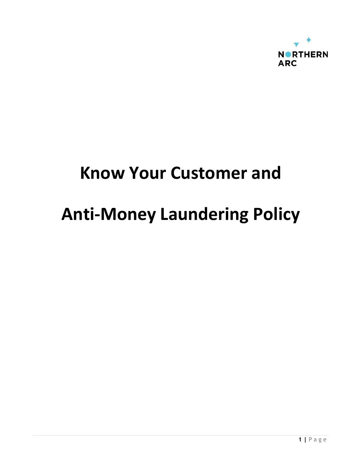

## **Know Your Customer and**

# **Anti-Money Laundering Policy**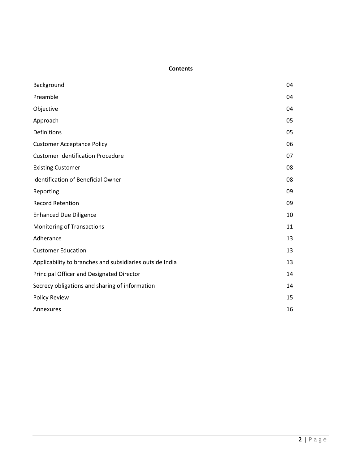#### **Contents**

| Background                                               | 04 |
|----------------------------------------------------------|----|
| Preamble                                                 | 04 |
| Objective                                                | 04 |
| Approach                                                 | 05 |
| Definitions                                              | 05 |
| <b>Customer Acceptance Policy</b>                        | 06 |
| <b>Customer Identification Procedure</b>                 | 07 |
| <b>Existing Customer</b>                                 | 08 |
| <b>Identification of Beneficial Owner</b>                | 08 |
| Reporting                                                | 09 |
| <b>Record Retention</b>                                  | 09 |
| <b>Enhanced Due Diligence</b>                            | 10 |
| <b>Monitoring of Transactions</b>                        | 11 |
| Adherance                                                | 13 |
| <b>Customer Education</b>                                | 13 |
| Applicability to branches and subsidiaries outside India | 13 |
| Principal Officer and Designated Director                | 14 |
| Secrecy obligations and sharing of information           | 14 |
| <b>Policy Review</b>                                     | 15 |
| Annexures                                                | 16 |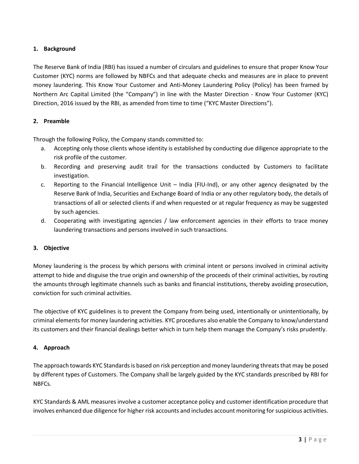## **1. Background**

The Reserve Bank of India (RBI) has issued a number of circulars and guidelines to ensure that proper Know Your Customer (KYC) norms are followed by NBFCs and that adequate checks and measures are in place to prevent money laundering. This Know Your Customer and Anti-Money Laundering Policy (Policy) has been framed by Northern Arc Capital Limited (the "Company") in line with the Master Direction - Know Your Customer (KYC) Direction, 2016 issued by the RBI, as amended from time to time ("KYC Master Directions").

#### **2. Preamble**

Through the following Policy, the Company stands committed to:

- a. Accepting only those clients whose identity is established by conducting due diligence appropriate to the risk profile of the customer.
- b. Recording and preserving audit trail for the transactions conducted by Customers to facilitate investigation.
- c. Reporting to the Financial Intelligence Unit India (FIU-Ind), or any other agency designated by the Reserve Bank of India, Securities and Exchange Board of India or any other regulatory body, the details of transactions of all or selected clients if and when requested or at regular frequency as may be suggested by such agencies.
- d. Cooperating with investigating agencies / law enforcement agencies in their efforts to trace money laundering transactions and persons involved in such transactions.

## **3. Objective**

Money laundering is the process by which persons with criminal intent or persons involved in criminal activity attempt to hide and disguise the true origin and ownership of the proceeds of their criminal activities, by routing the amounts through legitimate channels such as banks and financial institutions, thereby avoiding prosecution, conviction for such criminal activities.

The objective of KYC guidelines is to prevent the Company from being used, intentionally or unintentionally, by criminal elements for money laundering activities. KYC procedures also enable the Company to know/understand its customers and their financial dealings better which in turn help them manage the Company's risks prudently.

## **4. Approach**

The approach towards KYC Standards is based on risk perception and money laundering threats that may be posed by different types of Customers. The Company shall be largely guided by the KYC standards prescribed by RBI for NBFCs.

KYC Standards & AML measures involve a customer acceptance policy and customer identification procedure that involves enhanced due diligence for higher risk accounts and includes account monitoring for suspicious activities.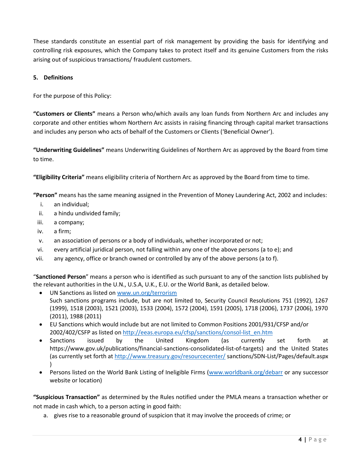These standards constitute an essential part of risk management by providing the basis for identifying and controlling risk exposures, which the Company takes to protect itself and its genuine Customers from the risks arising out of suspicious transactions/ fraudulent customers.

## **5. Definitions**

For the purpose of this Policy:

**"Customers or Clients"** means a Person who/which avails any loan funds from Northern Arc and includes any corporate and other entities whom Northern Arc assists in raising financing through capital market transactions and includes any person who acts of behalf of the Customers or Clients ('Beneficial Owner').

**"Underwriting Guidelines"** means Underwriting Guidelines of Northern Arc as approved by the Board from time to time.

**"Eligibility Criteria"** means eligibility criteria of Northern Arc as approved by the Board from time to time.

**"Person"** means has the same meaning assigned in the Prevention of Money Laundering Act, 2002 and includes:

- i. an individual;
- ii. a hindu undivided family;
- iii. a company;
- iv. a firm;
- v. an association of persons or a body of individuals, whether incorporated or not;
- vi. every artificial juridical person, not falling within any one of the above persons (a to e); and
- vii. any agency, office or branch owned or controlled by any of the above persons (a to f).

"**Sanctioned Person**" means a person who is identified as such pursuant to any of the sanction lists published by the relevant authorities in the U.N., U.S.A, U.K., E.U. or the World Bank, as detailed below.

- UN Sanctions as listed on [www.un.org/terrorism](https://ind01.safelinks.protection.outlook.com/?url=http%3A%2F%2Fwww.un.org%2Fterrorism&data=04%7C01%7CShakeel.Ahamed%40Northernarc.com%7Ccb8b9ec66cac4cdaab1508d9422a22db%7C9815c4a22c8b40d187af75e5365e197c%7C1%7C0%7C637613571005040476%7CUnknown%7CTWFpbGZsb3d8eyJWIjoiMC4wLjAwMDAiLCJQIjoiV2luMzIiLCJBTiI6Ik1haWwiLCJXVCI6Mn0%3D%7C1000&sdata=trcazvPGcEt8msITsWuxsyXknTH883OoJhXz206%2Bzgw%3D&reserved=0) Such sanctions programs include, but are not limited to, Security Council Resolutions 751 (1992), 1267 (1999), 1518 (2003), 1521 (2003), 1533 (2004), 1572 (2004), 1591 (2005), 1718 (2006), 1737 (2006), 1970 (2011), 1988 (2011)
- EU Sanctions which would include but are not limited to Common Positions 2001/931/CFSP and/or 2002/402/CSFP as listed o[n http://eeas.europa.eu/cfsp/sanctions/consol-list\\_en.htm](https://ind01.safelinks.protection.outlook.com/?url=http%3A%2F%2Feeas.europa.eu%2Fcfsp%2Fsanctions%2Fconsol-list_en.htm&data=04%7C01%7CShakeel.Ahamed%40Northernarc.com%7Ccb8b9ec66cac4cdaab1508d9422a22db%7C9815c4a22c8b40d187af75e5365e197c%7C1%7C0%7C637613571005050464%7CUnknown%7CTWFpbGZsb3d8eyJWIjoiMC4wLjAwMDAiLCJQIjoiV2luMzIiLCJBTiI6Ik1haWwiLCJXVCI6Mn0%3D%7C1000&sdata=Xl7isSzl1OFt%2BjTOYtaa3n6SIeJcTrj2rUOiNFKPOLs%3D&reserved=0)
- Sanctions issued by the United Kingdom (as currently set forth at https://www.gov.uk/publications/financial-sanctions-consolidated-list-of-targets) and the United States (as currently set forth a[t http://www.treasury.gov/resourcecenter/](https://ind01.safelinks.protection.outlook.com/?url=http%3A%2F%2Fwww.treasury.gov%2Fresourcecenter%2F&data=04%7C01%7CShakeel.Ahamed%40Northernarc.com%7Ccb8b9ec66cac4cdaab1508d9422a22db%7C9815c4a22c8b40d187af75e5365e197c%7C1%7C0%7C637613571005060460%7CUnknown%7CTWFpbGZsb3d8eyJWIjoiMC4wLjAwMDAiLCJQIjoiV2luMzIiLCJBTiI6Ik1haWwiLCJXVCI6Mn0%3D%7C1000&sdata=6jiH0G5GUwLQ0phvbq5PFYFBf2HoTM4gLElUFo5o70Y%3D&reserved=0) sanctions/SDN-List/Pages/default.aspx )
- Persons listed on the World Bank Listing of Ineligible Firms [\(www.worldbank.org/debarr](https://ind01.safelinks.protection.outlook.com/?url=http%3A%2F%2Fwww.worldbank.org%2Fdebarr&data=04%7C01%7CShakeel.Ahamed%40Northernarc.com%7Ccb8b9ec66cac4cdaab1508d9422a22db%7C9815c4a22c8b40d187af75e5365e197c%7C1%7C0%7C637613571005060460%7CUnknown%7CTWFpbGZsb3d8eyJWIjoiMC4wLjAwMDAiLCJQIjoiV2luMzIiLCJBTiI6Ik1haWwiLCJXVCI6Mn0%3D%7C1000&sdata=HJn8HPkdeyA%2FnfwF1L9IARy%2BPp8yLs5W0KSNwM1lzyE%3D&reserved=0) or any successor website or location)

**"Suspicious Transaction"** as determined by the Rules notified under the PMLA means a transaction whether or not made in cash which, to a person acting in good faith:

a. gives rise to a reasonable ground of suspicion that it may involve the proceeds of crime; or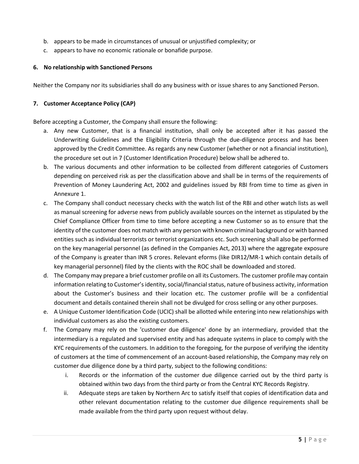- b. appears to be made in circumstances of unusual or unjustified complexity; or
- c. appears to have no economic rationale or bonafide purpose.

#### **6. No relationship with Sanctioned Persons**

Neither the Company nor its subsidiaries shall do any business with or issue shares to any Sanctioned Person.

#### **7. Customer Acceptance Policy (CAP)**

Before accepting a Customer, the Company shall ensure the following:

- a. Any new Customer, that is a financial institution, shall only be accepted after it has passed the Underwriting Guidelines and the Eligibility Criteria through the due-diligence process and has been approved by the Credit Committee. As regards any new Customer (whether or not a financial institution), the procedure set out in 7 (Customer Identification Procedure) below shall be adhered to.
- b. The various documents and other information to be collected from different categories of Customers depending on perceived risk as per the classification above and shall be in terms of the requirements of Prevention of Money Laundering Act, 2002 and guidelines issued by RBI from time to time as given in Annexure 1.
- c. The Company shall conduct necessary checks with the watch list of the RBI and other watch lists as well as manual screening for adverse news from publicly available sources on the internet as stipulated by the Chief Compliance Officer from time to time before accepting a new Customer so as to ensure that the identity of the customer does not match with any person with known criminal background or with banned entities such as individual terrorists or terrorist organizations etc. Such screening shall also be performed on the key managerial personnel (as defined in the Companies Act, 2013) where the aggregate exposure of the Company is greater than INR 5 crores. Relevant eforms (like DIR12/MR-1 which contain details of key managerial personnel) filed by the clients with the ROC shall be downloaded and stored.
- d. The Company may prepare a brief customer profile on all its Customers. The customer profile may contain information relating to Customer's identity, social/financial status, nature of business activity, information about the Customer's business and their location etc. The customer profile will be a confidential document and details contained therein shall not be divulged for cross selling or any other purposes.
- e. A Unique Customer Identification Code (UCIC) shall be allotted while entering into new relationships with individual customers as also the existing customers.
- f. The Company may rely on the 'customer due diligence' done by an intermediary, provided that the intermediary is a regulated and supervised entity and has adequate systems in place to comply with the KYC requirements of the customers. In addition to the foregoing, for the purpose of verifying the identity of customers at the time of commencement of an account-based relationship, the Company may rely on customer due diligence done by a third party, subject to the following conditions:
	- i. Records or the information of the customer due diligence carried out by the third party is obtained within two days from the third party or from the Central KYC Records Registry.
	- ii. Adequate steps are taken by Northern Arc to satisfy itself that copies of identification data and other relevant documentation relating to the customer due diligence requirements shall be made available from the third party upon request without delay.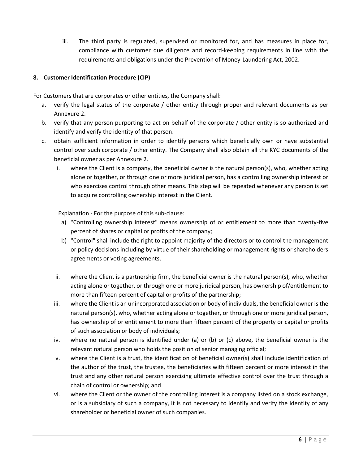iii. The third party is regulated, supervised or monitored for, and has measures in place for, compliance with customer due diligence and record-keeping requirements in line with the requirements and obligations under the Prevention of Money-Laundering Act, 2002.

## **8. Customer Identification Procedure (CIP)**

For Customers that are corporates or other entities, the Company shall:

- a. verify the legal status of the corporate / other entity through proper and relevant documents as per Annexure 2.
- b. verify that any person purporting to act on behalf of the corporate / other entity is so authorized and identify and verify the identity of that person.
- c. obtain sufficient information in order to identify persons which beneficially own or have substantial control over such corporate / other entity. The Company shall also obtain all the KYC documents of the beneficial owner as per Annexure 2.
	- i. where the Client is a company, the beneficial owner is the natural person(s), who, whether acting alone or together, or through one or more juridical person, has a controlling ownership interest or who exercises control through other means. This step will be repeated whenever any person is set to acquire controlling ownership interest in the Client.

Explanation - For the purpose of this sub-clause:

- a) "Controlling ownership interest" means ownership of or entitlement to more than twenty-five percent of shares or capital or profits of the company;
- b) "Control" shall include the right to appoint majority of the directors or to control the management or policy decisions including by virtue of their shareholding or management rights or shareholders agreements or voting agreements.
- ii. where the Client is a partnership firm, the beneficial owner is the natural person(s), who, whether acting alone or together, or through one or more juridical person, has ownership of/entitlement to more than fifteen percent of capital or profits of the partnership;
- iii. where the Client is an unincorporated association or body of individuals, the beneficial owner is the natural person(s), who, whether acting alone or together, or through one or more juridical person, has ownership of or entitlement to more than fifteen percent of the property or capital or profits of such association or body of individuals;
- iv. where no natural person is identified under (a) or (b) or (c) above, the beneficial owner is the relevant natural person who holds the position of senior managing official;
- v. where the Client is a trust, the identification of beneficial owner(s) shall include identification of the author of the trust, the trustee, the beneficiaries with fifteen percent or more interest in the trust and any other natural person exercising ultimate effective control over the trust through a chain of control or ownership; and
- vi. where the Client or the owner of the controlling interest is a company listed on a stock exchange, or is a subsidiary of such a company, it is not necessary to identify and verify the identity of any shareholder or beneficial owner of such companies.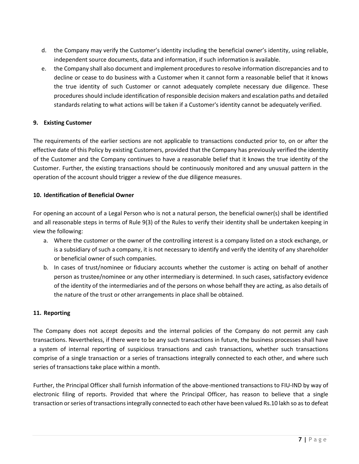- d. the Company may verify the Customer's identity including the beneficial owner's identity, using reliable, independent source documents, data and information, if such information is available.
- e. the Company shall also document and implement procedures to resolve information discrepancies and to decline or cease to do business with a Customer when it cannot form a reasonable belief that it knows the true identity of such Customer or cannot adequately complete necessary due diligence. These procedures should include identification of responsible decision makers and escalation paths and detailed standards relating to what actions will be taken if a Customer's identity cannot be adequately verified.

## **9. Existing Customer**

The requirements of the earlier sections are not applicable to transactions conducted prior to, on or after the effective date of this Policy by existing Customers, provided that the Company has previously verified the identity of the Customer and the Company continues to have a reasonable belief that it knows the true identity of the Customer. Further, the existing transactions should be continuously monitored and any unusual pattern in the operation of the account should trigger a review of the due diligence measures.

#### **10. Identification of Beneficial Owner**

For opening an account of a Legal Person who is not a natural person, the beneficial owner(s) shall be identified and all reasonable steps in terms of Rule 9(3) of the Rules to verify their identity shall be undertaken keeping in view the following:

- a. Where the customer or the owner of the controlling interest is a company listed on a stock exchange, or is a subsidiary of such a company, it is not necessary to identify and verify the identity of any shareholder or beneficial owner of such companies.
- b. In cases of trust/nominee or fiduciary accounts whether the customer is acting on behalf of another person as trustee/nominee or any other intermediary is determined. In such cases, satisfactory evidence of the identity of the intermediaries and of the persons on whose behalf they are acting, as also details of the nature of the trust or other arrangements in place shall be obtained.

#### **11. Reporting**

The Company does not accept deposits and the internal policies of the Company do not permit any cash transactions. Nevertheless, if there were to be any such transactions in future, the business processes shall have a system of internal reporting of suspicious transactions and cash transactions, whether such transactions comprise of a single transaction or a series of transactions integrally connected to each other, and where such series of transactions take place within a month.

Further, the Principal Officer shall furnish information of the above-mentioned transactions to FIU-IND by way of electronic filing of reports. Provided that where the Principal Officer, has reason to believe that a single transaction or series of transactions integrally connected to each other have been valued Rs.10 lakh so as to defeat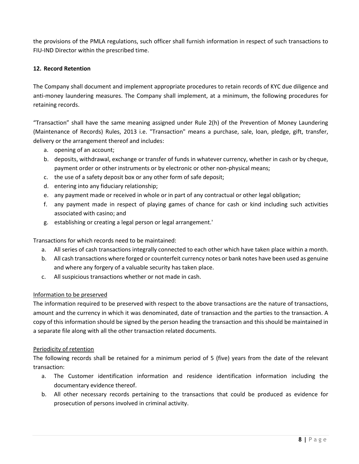the provisions of the PMLA regulations, such officer shall furnish information in respect of such transactions to FIU-IND Director within the prescribed time.

### **12. Record Retention**

The Company shall document and implement appropriate procedures to retain records of KYC due diligence and anti-money laundering measures. The Company shall implement, at a minimum, the following procedures for retaining records.

"Transaction" shall have the same meaning assigned under Rule 2(h) of the Prevention of Money Laundering (Maintenance of Records) Rules, 2013 i.e. "Transaction" means a purchase, sale, loan, pledge, gift, transfer, delivery or the arrangement thereof and includes:

- a. opening of an account;
- b. deposits, withdrawal, exchange or transfer of funds in whatever currency, whether in cash or by cheque, payment order or other instruments or by electronic or other non-physical means;
- c. the use of a safety deposit box or any other form of safe deposit;
- d. entering into any fiduciary relationship;
- e. any payment made or received in whole or in part of any contractual or other legal obligation;
- f. any payment made in respect of playing games of chance for cash or kind including such activities associated with casino; and
- g. establishing or creating a legal person or legal arrangement.'

Transactions for which records need to be maintained:

- a. All series of cash transactions integrally connected to each other which have taken place within a month.
- b. All cash transactions where forged or counterfeit currency notes or bank notes have been used as genuine and where any forgery of a valuable security has taken place.
- c. All suspicious transactions whether or not made in cash.

#### Information to be preserved

The information required to be preserved with respect to the above transactions are the nature of transactions, amount and the currency in which it was denominated, date of transaction and the parties to the transaction. A copy of this information should be signed by the person heading the transaction and this should be maintained in a separate file along with all the other transaction related documents.

#### Periodicity of retention

The following records shall be retained for a minimum period of 5 (five) years from the date of the relevant transaction:

- a. The Customer identification information and residence identification information including the documentary evidence thereof.
- b. All other necessary records pertaining to the transactions that could be produced as evidence for prosecution of persons involved in criminal activity.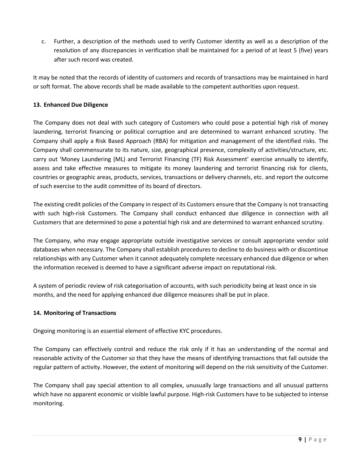c. Further, a description of the methods used to verify Customer identity as well as a description of the resolution of any discrepancies in verification shall be maintained for a period of at least 5 (five) years after such record was created.

It may be noted that the records of identity of customers and records of transactions may be maintained in hard or soft format. The above records shall be made available to the competent authorities upon request.

## **13. Enhanced Due Diligence**

The Company does not deal with such category of Customers who could pose a potential high risk of money laundering, terrorist financing or political corruption and are determined to warrant enhanced scrutiny. The Company shall apply a Risk Based Approach (RBA) for mitigation and management of the identified risks. The Company shall commensurate to its nature, size, geographical presence, complexity of activities/structure, etc. carry out 'Money Laundering (ML) and Terrorist Financing (TF) Risk Assessment' exercise annually to identify, assess and take effective measures to mitigate its money laundering and terrorist financing risk for clients, countries or geographic areas, products, services, transactions or delivery channels, etc. and report the outcome of such exercise to the audit committee of its board of directors.

The existing credit policies of the Company in respect of its Customers ensure that the Company is not transacting with such high-risk Customers. The Company shall conduct enhanced due diligence in connection with all Customers that are determined to pose a potential high risk and are determined to warrant enhanced scrutiny.

The Company, who may engage appropriate outside investigative services or consult appropriate vendor sold databases when necessary. The Company shall establish procedures to decline to do business with or discontinue relationships with any Customer when it cannot adequately complete necessary enhanced due diligence or when the information received is deemed to have a significant adverse impact on reputational risk.

A system of periodic review of risk categorisation of accounts, with such periodicity being at least once in six months, and the need for applying enhanced due diligence measures shall be put in place.

## **14. Monitoring of Transactions**

Ongoing monitoring is an essential element of effective KYC procedures.

The Company can effectively control and reduce the risk only if it has an understanding of the normal and reasonable activity of the Customer so that they have the means of identifying transactions that fall outside the regular pattern of activity. However, the extent of monitoring will depend on the risk sensitivity of the Customer.

The Company shall pay special attention to all complex, unusually large transactions and all unusual patterns which have no apparent economic or visible lawful purpose. High-risk Customers have to be subjected to intense monitoring.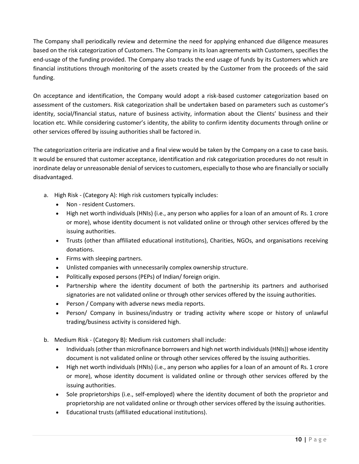The Company shall periodically review and determine the need for applying enhanced due diligence measures based on the risk categorization of Customers. The Company in its loan agreements with Customers, specifies the end-usage of the funding provided. The Company also tracks the end usage of funds by its Customers which are financial institutions through monitoring of the assets created by the Customer from the proceeds of the said funding.

On acceptance and identification, the Company would adopt a risk-based customer categorization based on assessment of the customers. Risk categorization shall be undertaken based on parameters such as customer's identity, social/financial status, nature of business activity, information about the Clients' business and their location etc. While considering customer's identity, the ability to confirm identity documents through online or other services offered by issuing authorities shall be factored in.

The categorization criteria are indicative and a final view would be taken by the Company on a case to case basis. It would be ensured that customer acceptance, identification and risk categorization procedures do not result in inordinate delay or unreasonable denial of services to customers, especially to those who are financially or socially disadvantaged.

- a. High Risk (Category A): High risk customers typically includes:
	- Non resident Customers.
	- High net worth individuals (HNIs) (i.e., any person who applies for a loan of an amount of Rs. 1 crore or more), whose identity document is not validated online or through other services offered by the issuing authorities.
	- Trusts (other than affiliated educational institutions), Charities, NGOs, and organisations receiving donations.
	- Firms with sleeping partners.
	- Unlisted companies with unnecessarily complex ownership structure.
	- Politically exposed persons (PEPs) of Indian/ foreign origin.
	- Partnership where the identity document of both the partnership its partners and authorised signatories are not validated online or through other services offered by the issuing authorities.
	- Person / Company with adverse news media reports.
	- Person/ Company in business/industry or trading activity where scope or history of unlawful trading/business activity is considered high.
- b. Medium Risk (Category B): Medium risk customers shall include:
	- Individuals (other than microfinance borrowers and high net worth individuals (HNIs)) whose identity document is not validated online or through other services offered by the issuing authorities.
	- High net worth individuals (HNIs) (i.e., any person who applies for a loan of an amount of Rs. 1 crore or more), whose identity document is validated online or through other services offered by the issuing authorities.
	- Sole proprietorships (i.e., self-employed) where the identity document of both the proprietor and proprietorship are not validated online or through other services offered by the issuing authorities.
	- Educational trusts (affiliated educational institutions).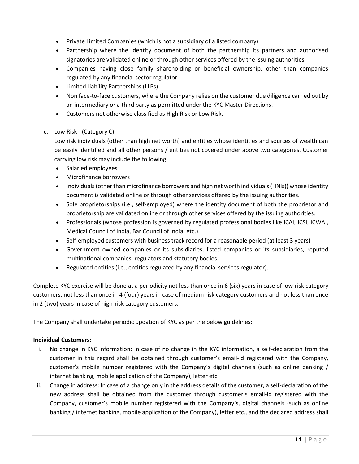- Private Limited Companies (which is not a subsidiary of a listed company).
- Partnership where the identity document of both the partnership its partners and authorised signatories are validated online or through other services offered by the issuing authorities.
- Companies having close family shareholding or beneficial ownership, other than companies regulated by any financial sector regulator.
- Limited-liability Partnerships (LLPs).
- Non face-to-face customers, where the Company relies on the customer due diligence carried out by an intermediary or a third party as permitted under the KYC Master Directions.
- Customers not otherwise classified as High Risk or Low Risk.
- c. Low Risk (Category C):

Low risk individuals (other than high net worth) and entities whose identities and sources of wealth can be easily identified and all other persons / entities not covered under above two categories. Customer carrying low risk may include the following:

- Salaried employees
- Microfinance borrowers
- Individuals (other than microfinance borrowers and high net worth individuals (HNIs)) whose identity document is validated online or through other services offered by the issuing authorities.
- Sole proprietorships (i.e., self-employed) where the identity document of both the proprietor and proprietorship are validated online or through other services offered by the issuing authorities.
- Professionals (whose profession is governed by regulated professional bodies like ICAI, ICSI, ICWAI, Medical Council of India, Bar Council of India, etc.).
- Self-employed customers with business track record for a reasonable period (at least 3 years)
- Government owned companies or its subsidiaries, listed companies or its subsidiaries, reputed multinational companies, regulators and statutory bodies.
- Regulated entities (i.e., entities regulated by any financial services regulator).

Complete KYC exercise will be done at a periodicity not less than once in 6 (six) years in case of low-risk category customers, not less than once in 4 (four) years in case of medium risk category customers and not less than once in 2 (two) years in case of high-risk category customers.

The Company shall undertake periodic updation of KYC as per the below guidelines:

#### **Individual Customers:**

- i. No change in KYC information: In case of no change in the KYC information, a self-declaration from the customer in this regard shall be obtained through customer's email-id registered with the Company, customer's mobile number registered with the Company's digital channels (such as online banking / internet banking, mobile application of the Company), letter etc.
- ii. Change in address: In case of a change only in the address details of the customer, a self-declaration of the new address shall be obtained from the customer through customer's email-id registered with the Company, customer's mobile number registered with the Company's, digital channels (such as online banking / internet banking, mobile application of the Company), letter etc., and the declared address shall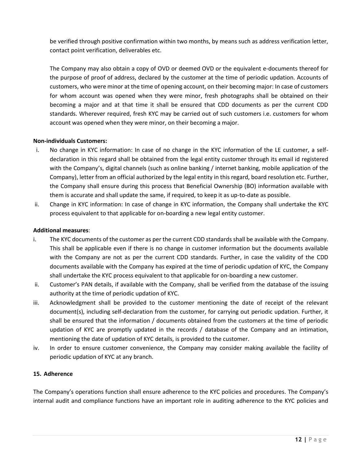be verified through positive confirmation within two months, by means such as address verification letter, contact point verification, deliverables etc.

The Company may also obtain a copy of OVD or deemed OVD or the equivalent e-documents thereof for the purpose of proof of address, declared by the customer at the time of periodic updation. Accounts of customers, who were minor at the time of opening account, on their becoming major: In case of customers for whom account was opened when they were minor, fresh photographs shall be obtained on their becoming a major and at that time it shall be ensured that CDD documents as per the current CDD standards. Wherever required, fresh KYC may be carried out of such customers i.e. customers for whom account was opened when they were minor, on their becoming a major.

## **Non-individuals Customers:**

- i. No change in KYC information: In case of no change in the KYC information of the LE customer, a selfdeclaration in this regard shall be obtained from the legal entity customer through its email id registered with the Company's, digital channels (such as online banking / internet banking, mobile application of the Company), letter from an official authorized by the legal entity in this regard, board resolution etc. Further, the Company shall ensure during this process that Beneficial Ownership (BO) information available with them is accurate and shall update the same, if required, to keep it as up-to-date as possible.
- ii. Change in KYC information: In case of change in KYC information, the Company shall undertake the KYC process equivalent to that applicable for on-boarding a new legal entity customer.

#### **Additional measures**:

- i. The KYC documents of the customer as per the current CDD standards shall be available with the Company. This shall be applicable even if there is no change in customer information but the documents available with the Company are not as per the current CDD standards. Further, in case the validity of the CDD documents available with the Company has expired at the time of periodic updation of KYC, the Company shall undertake the KYC process equivalent to that applicable for on-boarding a new customer.
- ii. Customer's PAN details, if available with the Company, shall be verified from the database of the issuing authority at the time of periodic updation of KYC.
- iii. Acknowledgment shall be provided to the customer mentioning the date of receipt of the relevant document(s), including self-declaration from the customer, for carrying out periodic updation. Further, it shall be ensured that the information / documents obtained from the customers at the time of periodic updation of KYC are promptly updated in the records / database of the Company and an intimation, mentioning the date of updation of KYC details, is provided to the customer.
- iv. In order to ensure customer convenience, the Company may consider making available the facility of periodic updation of KYC at any branch.

#### **15. Adherence**

The Company's operations function shall ensure adherence to the KYC policies and procedures. The Company's internal audit and compliance functions have an important role in auditing adherence to the KYC policies and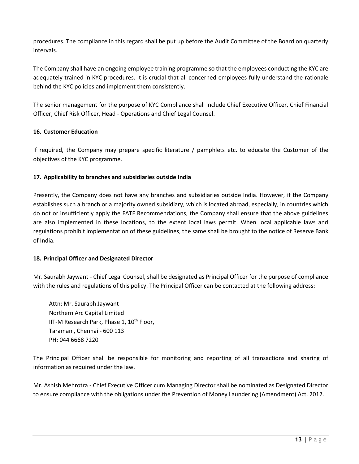procedures. The compliance in this regard shall be put up before the Audit Committee of the Board on quarterly intervals.

The Company shall have an ongoing employee training programme so that the employees conducting the KYC are adequately trained in KYC procedures. It is crucial that all concerned employees fully understand the rationale behind the KYC policies and implement them consistently.

The senior management for the purpose of KYC Compliance shall include Chief Executive Officer, Chief Financial Officer, Chief Risk Officer, Head - Operations and Chief Legal Counsel.

## **16. Customer Education**

If required, the Company may prepare specific literature / pamphlets etc. to educate the Customer of the objectives of the KYC programme.

#### **17. Applicability to branches and subsidiaries outside India**

Presently, the Company does not have any branches and subsidiaries outside India. However, if the Company establishes such a branch or a majority owned subsidiary, which is located abroad, especially, in countries which do not or insufficiently apply the FATF Recommendations, the Company shall ensure that the above guidelines are also implemented in these locations, to the extent local laws permit. When local applicable laws and regulations prohibit implementation of these guidelines, the same shall be brought to the notice of Reserve Bank of India.

#### **18. Principal Officer and Designated Director**

Mr. Saurabh Jaywant - Chief Legal Counsel, shall be designated as Principal Officer for the purpose of compliance with the rules and regulations of this policy. The Principal Officer can be contacted at the following address:

Attn: Mr. Saurabh Jaywant Northern Arc Capital Limited IIT-M Research Park, Phase 1,  $10^{th}$  Floor, Taramani, Chennai - 600 113 PH: 044 6668 7220

The Principal Officer shall be responsible for monitoring and reporting of all transactions and sharing of information as required under the law.

Mr. Ashish Mehrotra - Chief Executive Officer cum Managing Director shall be nominated as Designated Director to ensure compliance with the obligations under the Prevention of Money Laundering (Amendment) Act, 2012.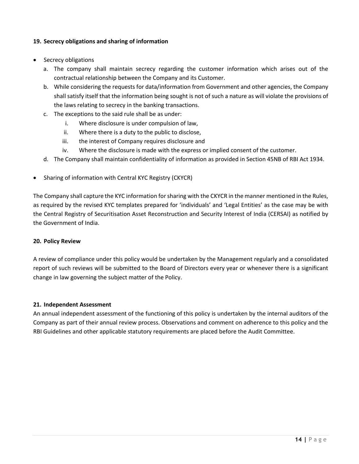#### **19. Secrecy obligations and sharing of information**

- Secrecy obligations
	- a. The company shall maintain secrecy regarding the customer information which arises out of the contractual relationship between the Company and its Customer.
	- b. While considering the requests for data/information from Government and other agencies, the Company shall satisfy itself that the information being sought is not of such a nature as will violate the provisions of the laws relating to secrecy in the banking transactions.
	- c. The exceptions to the said rule shall be as under:
		- i. Where disclosure is under compulsion of law,
		- ii. Where there is a duty to the public to disclose,
		- iii. the interest of Company requires disclosure and
		- iv. Where the disclosure is made with the express or implied consent of the customer.
	- d. The Company shall maintain confidentiality of information as provided in Section 45NB of RBI Act 1934.
- Sharing of information with Central KYC Registry (CKYCR)

The Company shall capture the KYC information for sharing with the CKYCR in the manner mentioned in the Rules, as required by the revised KYC templates prepared for 'individuals' and 'Legal Entities' as the case may be with the Central Registry of Securitisation Asset Reconstruction and Security Interest of India (CERSAI) as notified by the Government of India.

#### **20. Policy Review**

A review of compliance under this policy would be undertaken by the Management regularly and a consolidated report of such reviews will be submitted to the Board of Directors every year or whenever there is a significant change in law governing the subject matter of the Policy.

#### **21. Independent Assessment**

An annual independent assessment of the functioning of this policy is undertaken by the internal auditors of the Company as part of their annual review process. Observations and comment on adherence to this policy and the RBI Guidelines and other applicable statutory requirements are placed before the Audit Committee.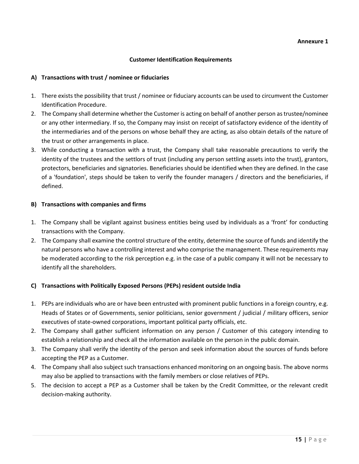#### **Customer Identification Requirements**

#### **A) Transactions with trust / nominee or fiduciaries**

- 1. There exists the possibility that trust / nominee or fiduciary accounts can be used to circumvent the Customer Identification Procedure.
- 2. The Company shall determine whether the Customer is acting on behalf of another person as trustee/nominee or any other intermediary. If so, the Company may insist on receipt of satisfactory evidence of the identity of the intermediaries and of the persons on whose behalf they are acting, as also obtain details of the nature of the trust or other arrangements in place.
- 3. While conducting a transaction with a trust, the Company shall take reasonable precautions to verify the identity of the trustees and the settlors of trust (including any person settling assets into the trust), grantors, protectors, beneficiaries and signatories. Beneficiaries should be identified when they are defined. In the case of a 'foundation', steps should be taken to verify the founder managers / directors and the beneficiaries, if defined.

#### **B) Transactions with companies and firms**

- 1. The Company shall be vigilant against business entities being used by individuals as a 'front' for conducting transactions with the Company.
- 2. The Company shall examine the control structure of the entity, determine the source of funds and identify the natural persons who have a controlling interest and who comprise the management. These requirements may be moderated according to the risk perception e.g. in the case of a public company it will not be necessary to identify all the shareholders.

#### **C) Transactions with Politically Exposed Persons (PEPs) resident outside India**

- 1. PEPs are individuals who are or have been entrusted with prominent public functions in a foreign country, e.g. Heads of States or of Governments, senior politicians, senior government / judicial / military officers, senior executives of state-owned corporations, important political party officials, etc.
- 2. The Company shall gather sufficient information on any person / Customer of this category intending to establish a relationship and check all the information available on the person in the public domain.
- 3. The Company shall verify the identity of the person and seek information about the sources of funds before accepting the PEP as a Customer.
- 4. The Company shall also subject such transactions enhanced monitoring on an ongoing basis. The above norms may also be applied to transactions with the family members or close relatives of PEPs.
- 5. The decision to accept a PEP as a Customer shall be taken by the Credit Committee, or the relevant credit decision-making authority.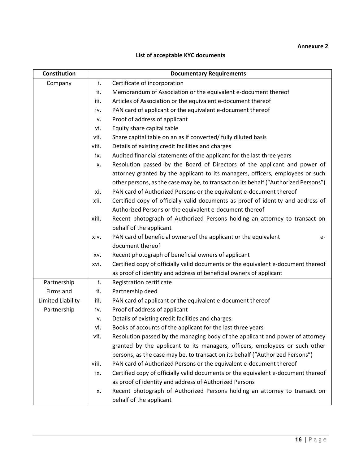## **Annexure 2**

## **List of acceptable KYC documents**

| <b>Constitution</b> |       | <b>Documentary Requirements</b>                                                     |
|---------------------|-------|-------------------------------------------------------------------------------------|
| Company             | i.    | Certificate of incorporation                                                        |
|                     | ii.   | Memorandum of Association or the equivalent e-document thereof                      |
|                     | iii.  | Articles of Association or the equivalent e-document thereof                        |
|                     | iv.   | PAN card of applicant or the equivalent e-document thereof                          |
|                     | v.    | Proof of address of applicant                                                       |
|                     | vi.   | Equity share capital table                                                          |
|                     | vii.  | Share capital table on an as if converted/ fully diluted basis                      |
|                     | viii. | Details of existing credit facilities and charges                                   |
|                     | ix.   | Audited financial statements of the applicant for the last three years              |
|                     | x.    | Resolution passed by the Board of Directors of the applicant and power of           |
|                     |       | attorney granted by the applicant to its managers, officers, employees or such      |
|                     |       | other persons, as the case may be, to transact on its behalf ("Authorized Persons") |
|                     | xi.   | PAN card of Authorized Persons or the equivalent e-document thereof                 |
|                     | xii.  | Certified copy of officially valid documents as proof of identity and address of    |
|                     |       | Authorized Persons or the equivalent e-document thereof                             |
|                     | xiii. | Recent photograph of Authorized Persons holding an attorney to transact on          |
|                     |       | behalf of the applicant                                                             |
|                     | xiv.  | PAN card of beneficial owners of the applicant or the equivalent<br>e-              |
|                     |       | document thereof                                                                    |
|                     | XV.   | Recent photograph of beneficial owners of applicant                                 |
|                     | xvi.  | Certified copy of officially valid documents or the equivalent e-document thereof   |
|                     |       | as proof of identity and address of beneficial owners of applicant                  |
| Partnership         | i.    | Registration certificate                                                            |
| Firms and           | ii.   | Partnership deed                                                                    |
| Limited Liability   | iii.  | PAN card of applicant or the equivalent e-document thereof                          |
| Partnership         | iv.   | Proof of address of applicant                                                       |
|                     | v.    | Details of existing credit facilities and charges.                                  |
|                     | vi.   | Books of accounts of the applicant for the last three years                         |
|                     | vii.  | Resolution passed by the managing body of the applicant and power of attorney       |
|                     |       | granted by the applicant to its managers, officers, employees or such other         |
|                     |       | persons, as the case may be, to transact on its behalf ("Authorized Persons")       |
|                     | viii. | PAN card of Authorized Persons or the equivalent e-document thereof                 |
|                     | ix.   | Certified copy of officially valid documents or the equivalent e-document thereof   |
|                     |       | as proof of identity and address of Authorized Persons                              |
|                     | x.    | Recent photograph of Authorized Persons holding an attorney to transact on          |
|                     |       | behalf of the applicant                                                             |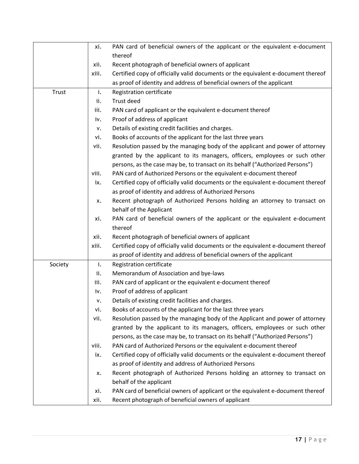|         | xi.   | PAN card of beneficial owners of the applicant or the equivalent e-document       |
|---------|-------|-----------------------------------------------------------------------------------|
|         |       | thereof                                                                           |
|         | xii.  | Recent photograph of beneficial owners of applicant                               |
|         | xiii. | Certified copy of officially valid documents or the equivalent e-document thereof |
|         |       | as proof of identity and address of beneficial owners of the applicant            |
| Trust   | i.    | Registration certificate                                                          |
|         | ii.   | Trust deed                                                                        |
|         | iii.  | PAN card of applicant or the equivalent e-document thereof                        |
|         | iv.   | Proof of address of applicant                                                     |
|         | v.    | Details of existing credit facilities and charges.                                |
|         | vi.   | Books of accounts of the applicant for the last three years                       |
|         | vii.  | Resolution passed by the managing body of the applicant and power of attorney     |
|         |       | granted by the applicant to its managers, officers, employees or such other       |
|         |       | persons, as the case may be, to transact on its behalf ("Authorized Persons")     |
|         | viii. | PAN card of Authorized Persons or the equivalent e-document thereof               |
|         | ix.   | Certified copy of officially valid documents or the equivalent e-document thereof |
|         |       | as proof of identity and address of Authorized Persons                            |
|         | x.    | Recent photograph of Authorized Persons holding an attorney to transact on        |
|         |       | behalf of the Applicant                                                           |
|         | xi.   | PAN card of beneficial owners of the applicant or the equivalent e-document       |
|         |       | thereof                                                                           |
|         | xii.  | Recent photograph of beneficial owners of applicant                               |
|         | xiii. | Certified copy of officially valid documents or the equivalent e-document thereof |
|         |       | as proof of identity and address of beneficial owners of the applicant            |
| Society | i.    | Registration certificate                                                          |
|         | ii.   | Memorandum of Association and bye-laws                                            |
|         | iii.  | PAN card of applicant or the equivalent e-document thereof                        |
|         | iv.   | Proof of address of applicant                                                     |
|         | ٧.    | Details of existing credit facilities and charges.                                |
|         | vi.   | Books of accounts of the applicant for the last three years                       |
|         | vii.  | Resolution passed by the managing body of the Applicant and power of attorney     |
|         |       | granted by the applicant to its managers, officers, employees or such other       |
|         |       | persons, as the case may be, to transact on its behalf ("Authorized Persons")     |
|         | viii. | PAN card of Authorized Persons or the equivalent e-document thereof               |
|         | ix.   | Certified copy of officially valid documents or the equivalent e-document thereof |
|         |       | as proof of identity and address of Authorized Persons                            |
|         | x.    | Recent photograph of Authorized Persons holding an attorney to transact on        |
|         |       | behalf of the applicant                                                           |
|         | xi.   | PAN card of beneficial owners of applicant or the equivalent e-document thereof   |
|         | xii.  | Recent photograph of beneficial owners of applicant                               |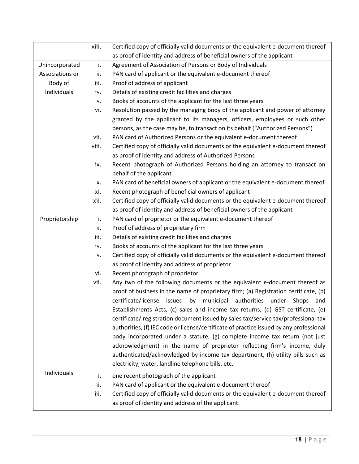|                 | xiii. | Certified copy of officially valid documents or the equivalent e-document thereof       |
|-----------------|-------|-----------------------------------------------------------------------------------------|
|                 |       | as proof of identity and address of beneficial owners of the applicant                  |
| Unincorporated  | i.    | Agreement of Association of Persons or Body of Individuals                              |
| Associations or | ii.   | PAN card of applicant or the equivalent e-document thereof                              |
| Body of         | iii.  | Proof of address of applicant                                                           |
| Individuals     | iv.   | Details of existing credit facilities and charges                                       |
|                 | ٧.    | Books of accounts of the applicant for the last three years                             |
|                 | vi.   | Resolution passed by the managing body of the applicant and power of attorney           |
|                 |       | granted by the applicant to its managers, officers, employees or such other             |
|                 |       | persons, as the case may be, to transact on its behalf ("Authorized Persons")           |
|                 | vii.  | PAN card of Authorized Persons or the equivalent e-document thereof                     |
|                 | viii. | Certified copy of officially valid documents or the equivalent e-document thereof       |
|                 |       | as proof of identity and address of Authorized Persons                                  |
|                 | ix.   | Recent photograph of Authorized Persons holding an attorney to transact on              |
|                 |       | behalf of the applicant                                                                 |
|                 | x.    | PAN card of beneficial owners of applicant or the equivalent e-document thereof         |
|                 | xi.   | Recent photograph of beneficial owners of applicant                                     |
|                 | xii.  | Certified copy of officially valid documents or the equivalent e-document thereof       |
|                 |       | as proof of identity and address of beneficial owners of the applicant                  |
| Proprietorship  | i.    | PAN card of proprietor or the equivalent e-document thereof                             |
|                 | ii.   | Proof of address of proprietary firm                                                    |
|                 | iii.  | Details of existing credit facilities and charges                                       |
|                 | i۷.   | Books of accounts of the applicant for the last three years                             |
|                 | ٧.    | Certified copy of officially valid documents or the equivalent e-document thereof       |
|                 |       | as proof of identity and address of proprietor                                          |
|                 | vi.   | Recent photograph of proprietor                                                         |
|                 | vii.  | Any two of the following documents or the equivalent e-document thereof as              |
|                 |       | proof of business in the name of proprietary firm; (a) Registration certificate, (b)    |
|                 |       | certificate/license issued<br>by municipal<br>authorities<br>under Shops<br>and         |
|                 |       | Establishments Acts, (c) sales and income tax returns, (d) GST certificate, (e)         |
|                 |       | certificate/ registration document issued by sales tax/service tax/professional tax     |
|                 |       | authorities, (f) IEC code or license/certificate of practice issued by any professional |
|                 |       | body incorporated under a statute, (g) complete income tax return (not just             |
|                 |       | acknowledgment) in the name of proprietor reflecting firm's income, duly                |
|                 |       | authenticated/acknowledged by income tax department, (h) utility bills such as          |
|                 |       | electricity, water, landline telephone bills, etc.                                      |
| Individuals     | i.    | one recent photograph of the applicant                                                  |
|                 | ii.   | PAN card of applicant or the equivalent e-document thereof                              |
|                 | iii.  | Certified copy of officially valid documents or the equivalent e-document thereof       |
|                 |       | as proof of identity and address of the applicant.                                      |
|                 |       |                                                                                         |